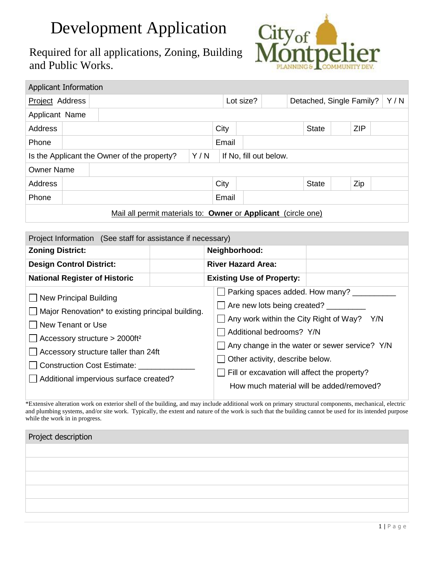## Development Application

Required for all applications, Zoning, Building and Public Works.



| Applicant Information                                                        |  |  |  |      |                                       |              |  |  |            |              |  |     |  |  |
|------------------------------------------------------------------------------|--|--|--|------|---------------------------------------|--------------|--|--|------------|--------------|--|-----|--|--|
| Project Address                                                              |  |  |  |      | Lot size?<br>Detached, Single Family? |              |  |  | Y/N        |              |  |     |  |  |
| Applicant Name                                                               |  |  |  |      |                                       |              |  |  |            |              |  |     |  |  |
| <b>Address</b>                                                               |  |  |  | City |                                       | <b>State</b> |  |  | <b>ZIP</b> |              |  |     |  |  |
| Phone                                                                        |  |  |  |      |                                       | Email        |  |  |            |              |  |     |  |  |
| Y/N<br>Is the Applicant the Owner of the property?<br>If No, fill out below. |  |  |  |      |                                       |              |  |  |            |              |  |     |  |  |
| <b>Owner Name</b>                                                            |  |  |  |      |                                       |              |  |  |            |              |  |     |  |  |
| Address                                                                      |  |  |  |      | City                                  |              |  |  |            | <b>State</b> |  | Zip |  |  |
| Phone                                                                        |  |  |  |      |                                       | Email        |  |  |            |              |  |     |  |  |
| Mail all permit materials to: Owner or Applicant (circle one)                |  |  |  |      |                                       |              |  |  |            |              |  |     |  |  |

| Project Information (See staff for assistance if necessary)                                                                                                                                                                                                           |  |                                                                                                                                                                                                                                                                         |                                                      |  |  |  |
|-----------------------------------------------------------------------------------------------------------------------------------------------------------------------------------------------------------------------------------------------------------------------|--|-------------------------------------------------------------------------------------------------------------------------------------------------------------------------------------------------------------------------------------------------------------------------|------------------------------------------------------|--|--|--|
| <b>Zoning District:</b>                                                                                                                                                                                                                                               |  | Neighborhood:                                                                                                                                                                                                                                                           |                                                      |  |  |  |
| <b>Design Control District:</b>                                                                                                                                                                                                                                       |  | <b>River Hazard Area:</b>                                                                                                                                                                                                                                               |                                                      |  |  |  |
| <b>National Register of Historic</b>                                                                                                                                                                                                                                  |  | <b>Existing Use of Property:</b>                                                                                                                                                                                                                                        |                                                      |  |  |  |
| New Principal Building<br>Major Renovation* to existing principal building.<br>New Tenant or Use<br>Accessory structure > 2000ft <sup>2</sup><br>Accessory structure taller than 24ft<br><b>Construction Cost Estimate:</b><br>Additional impervious surface created? |  | Parking spaces added. How many?<br>Are new lots being created?<br>Any work within the City Right of Way? Y/N<br>Additional bedrooms? Y/N<br>Other activity, describe below.<br>Fill or excavation will affect the property?<br>How much material will be added/removed? | $\Box$ Any change in the water or sewer service? Y/N |  |  |  |

\*Extensive alteration work on exterior shell of the building, and may include additional work on primary structural components, mechanical, electric and plumbing systems, and/or site work. Typically, the extent and nature of the work is such that the building cannot be used for its intended purpose while the work in in progress.

| Project description |  |
|---------------------|--|
|                     |  |
|                     |  |
|                     |  |
|                     |  |
|                     |  |